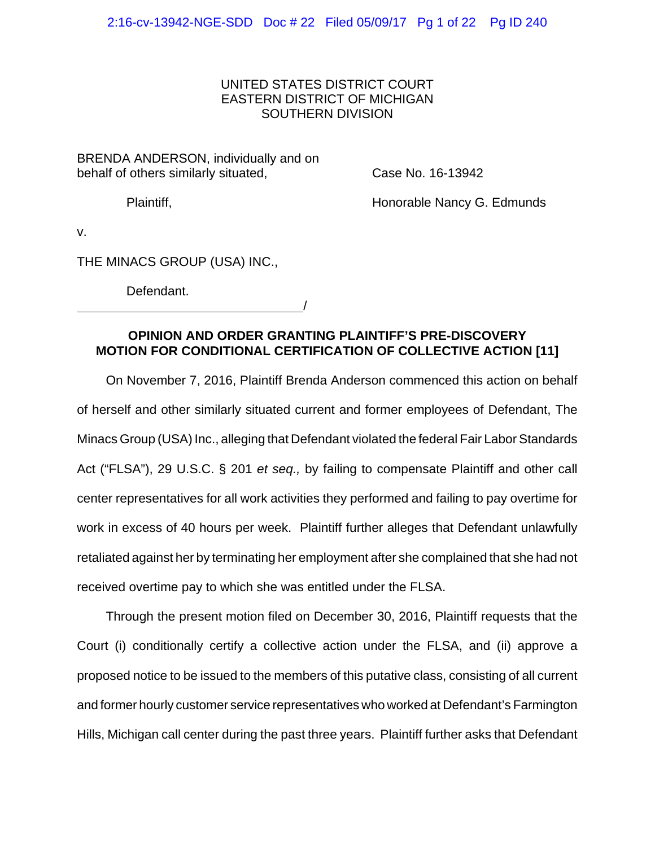# UNITED STATES DISTRICT COURT EASTERN DISTRICT OF MICHIGAN SOUTHERN DIVISION

BRENDA ANDERSON, individually and on behalf of others similarly situated,

Case No. 16-13942

Plaintiff,

Honorable Nancy G. Edmunds

v.

THE MINACS GROUP (USA) INC.,

Defendant.

<u>/</u>

# **OPINION AND ORDER GRANTING PLAINTIFF'S PRE-DISCOVERY MOTION FOR CONDITIONAL CERTIFICATION OF COLLECTIVE ACTION [11]**

On November 7, 2016, Plaintiff Brenda Anderson commenced this action on behalf of herself and other similarly situated current and former employees of Defendant, The Minacs Group (USA) Inc., alleging that Defendant violated the federal Fair Labor Standards Act ("FLSA"), 29 U.S.C. § 201 *et seq.,* by failing to compensate Plaintiff and other call center representatives for all work activities they performed and failing to pay overtime for work in excess of 40 hours per week. Plaintiff further alleges that Defendant unlawfully retaliated against her by terminating her employment after she complained that she had not received overtime pay to which she was entitled under the FLSA.

Through the present motion filed on December 30, 2016, Plaintiff requests that the Court (i) conditionally certify a collective action under the FLSA, and (ii) approve a proposed notice to be issued to the members of this putative class, consisting of all current and former hourly customer service representatives who worked at Defendant's Farmington Hills, Michigan call center during the past three years. Plaintiff further asks that Defendant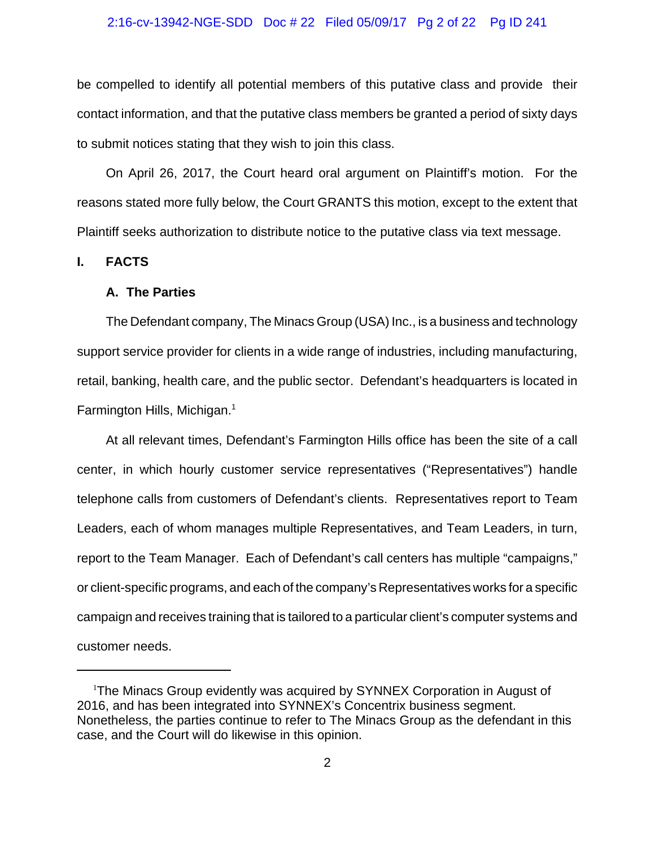#### 2:16-cv-13942-NGE-SDD Doc # 22 Filed 05/09/17 Pg 2 of 22 Pg ID 241

be compelled to identify all potential members of this putative class and provide their contact information, and that the putative class members be granted a period of sixty days to submit notices stating that they wish to join this class.

On April 26, 2017, the Court heard oral argument on Plaintiff's motion. For the reasons stated more fully below, the Court GRANTS this motion, except to the extent that Plaintiff seeks authorization to distribute notice to the putative class via text message.

**I. FACTS**

### **A. The Parties**

The Defendant company, The Minacs Group (USA) Inc., is a business and technology support service provider for clients in a wide range of industries, including manufacturing, retail, banking, health care, and the public sector. Defendant's headquarters is located in Farmington Hills, Michigan.<sup>1</sup>

At all relevant times, Defendant's Farmington Hills office has been the site of a call center, in which hourly customer service representatives ("Representatives") handle telephone calls from customers of Defendant's clients. Representatives report to Team Leaders, each of whom manages multiple Representatives, and Team Leaders, in turn, report to the Team Manager. Each of Defendant's call centers has multiple "campaigns," or client-specific programs, and each of the company's Representatives works for a specific campaign and receives training that is tailored to a particular client's computer systems and customer needs.

<sup>&</sup>lt;sup>1</sup>The Minacs Group evidently was acquired by SYNNEX Corporation in August of 2016, and has been integrated into SYNNEX's Concentrix business segment. Nonetheless, the parties continue to refer to The Minacs Group as the defendant in this case, and the Court will do likewise in this opinion.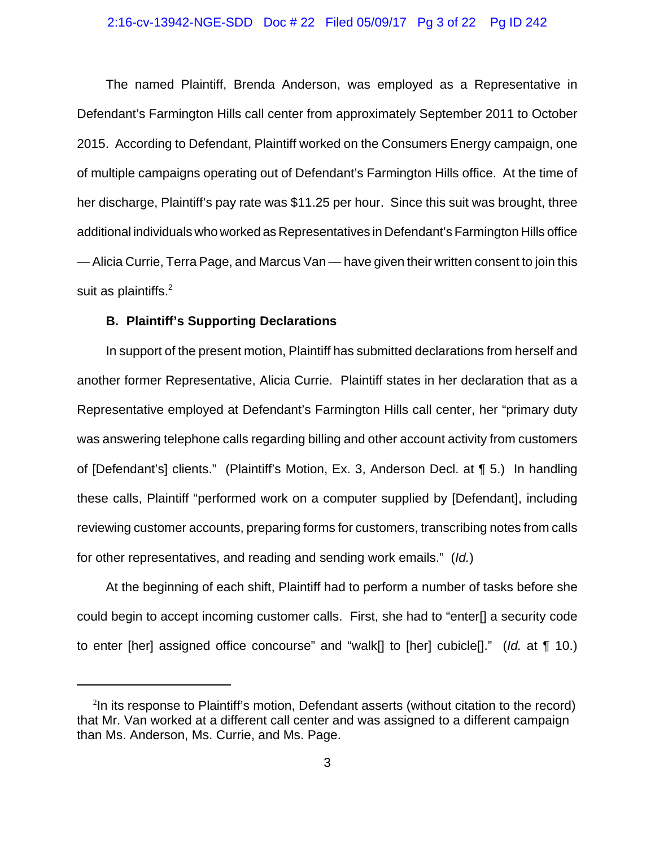### 2:16-cv-13942-NGE-SDD Doc # 22 Filed 05/09/17 Pg 3 of 22 Pg ID 242

The named Plaintiff, Brenda Anderson, was employed as a Representative in Defendant's Farmington Hills call center from approximately September 2011 to October 2015. According to Defendant, Plaintiff worked on the Consumers Energy campaign, one of multiple campaigns operating out of Defendant's Farmington Hills office. At the time of her discharge, Plaintiff's pay rate was \$11.25 per hour. Since this suit was brought, three additional individuals who worked as Representatives in Defendant's Farmington Hills office — Alicia Currie, Terra Page, and Marcus Van — have given their written consent to join this suit as plaintiffs. $^2$ 

## **B. Plaintiff's Supporting Declarations**

In support of the present motion, Plaintiff has submitted declarations from herself and another former Representative, Alicia Currie. Plaintiff states in her declaration that as a Representative employed at Defendant's Farmington Hills call center, her "primary duty was answering telephone calls regarding billing and other account activity from customers of [Defendant's] clients." (Plaintiff's Motion, Ex. 3, Anderson Decl. at ¶ 5.) In handling these calls, Plaintiff "performed work on a computer supplied by [Defendant], including reviewing customer accounts, preparing forms for customers, transcribing notes from calls for other representatives, and reading and sending work emails." (*Id.*)

At the beginning of each shift, Plaintiff had to perform a number of tasks before she could begin to accept incoming customer calls. First, she had to "enter[] a security code to enter [her] assigned office concourse" and "walk[] to [her] cubicle[]." (*Id.* at ¶ 10.)

<sup>&</sup>lt;sup>2</sup>In its response to Plaintiff's motion, Defendant asserts (without citation to the record) that Mr. Van worked at a different call center and was assigned to a different campaign than Ms. Anderson, Ms. Currie, and Ms. Page.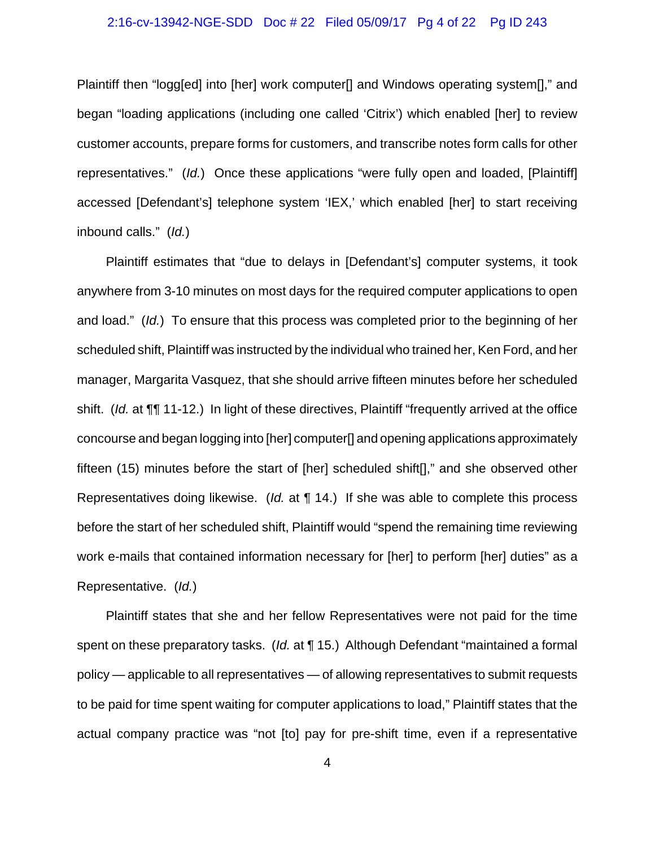### 2:16-cv-13942-NGE-SDD Doc # 22 Filed 05/09/17 Pg 4 of 22 Pg ID 243

Plaintiff then "logg[ed] into [her] work computer[] and Windows operating system[]," and began "loading applications (including one called 'Citrix') which enabled [her] to review customer accounts, prepare forms for customers, and transcribe notes form calls for other representatives." (*Id.*) Once these applications "were fully open and loaded, [Plaintiff] accessed [Defendant's] telephone system 'IEX,' which enabled [her] to start receiving inbound calls." (*Id.*)

Plaintiff estimates that "due to delays in [Defendant's] computer systems, it took anywhere from 3-10 minutes on most days for the required computer applications to open and load." (*Id.*) To ensure that this process was completed prior to the beginning of her scheduled shift, Plaintiff was instructed by the individual who trained her, Ken Ford, and her manager, Margarita Vasquez, that she should arrive fifteen minutes before her scheduled shift. (*Id.* at ¶¶ 11-12.) In light of these directives, Plaintiff "frequently arrived at the office concourse and began logging into [her] computer[] and opening applications approximately fifteen (15) minutes before the start of [her] scheduled shift[]," and she observed other Representatives doing likewise. (*Id.* at ¶ 14.) If she was able to complete this process before the start of her scheduled shift, Plaintiff would "spend the remaining time reviewing work e-mails that contained information necessary for [her] to perform [her] duties" as a Representative. (*Id.*)

Plaintiff states that she and her fellow Representatives were not paid for the time spent on these preparatory tasks. (*Id.* at ¶ 15.) Although Defendant "maintained a formal policy — applicable to all representatives — of allowing representatives to submit requests to be paid for time spent waiting for computer applications to load," Plaintiff states that the actual company practice was "not [to] pay for pre-shift time, even if a representative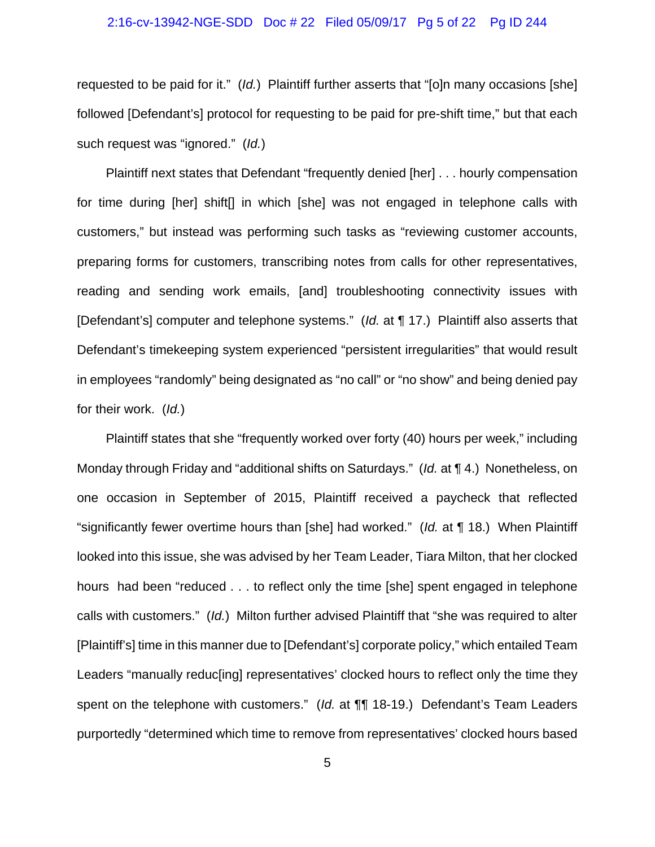### 2:16-cv-13942-NGE-SDD Doc # 22 Filed 05/09/17 Pg 5 of 22 Pg ID 244

requested to be paid for it." (*Id.*) Plaintiff further asserts that "[o]n many occasions [she] followed [Defendant's] protocol for requesting to be paid for pre-shift time," but that each such request was "ignored." (*Id.*)

Plaintiff next states that Defendant "frequently denied [her] . . . hourly compensation for time during [her] shift[] in which [she] was not engaged in telephone calls with customers," but instead was performing such tasks as "reviewing customer accounts, preparing forms for customers, transcribing notes from calls for other representatives, reading and sending work emails, [and] troubleshooting connectivity issues with [Defendant's] computer and telephone systems." (*Id.* at ¶ 17.) Plaintiff also asserts that Defendant's timekeeping system experienced "persistent irregularities" that would result in employees "randomly" being designated as "no call" or "no show" and being denied pay for their work. (*Id.*)

Plaintiff states that she "frequently worked over forty (40) hours per week," including Monday through Friday and "additional shifts on Saturdays." (*Id.* at ¶ 4.) Nonetheless, on one occasion in September of 2015, Plaintiff received a paycheck that reflected "significantly fewer overtime hours than [she] had worked." (*Id.* at ¶ 18.) When Plaintiff looked into this issue, she was advised by her Team Leader, Tiara Milton, that her clocked hours had been "reduced . . . to reflect only the time [she] spent engaged in telephone calls with customers." (*Id.*) Milton further advised Plaintiff that "she was required to alter [Plaintiff's] time in this manner due to [Defendant's] corporate policy," which entailed Team Leaders "manually reduc[ing] representatives' clocked hours to reflect only the time they spent on the telephone with customers." (*Id.* at ¶¶ 18-19.) Defendant's Team Leaders purportedly "determined which time to remove from representatives' clocked hours based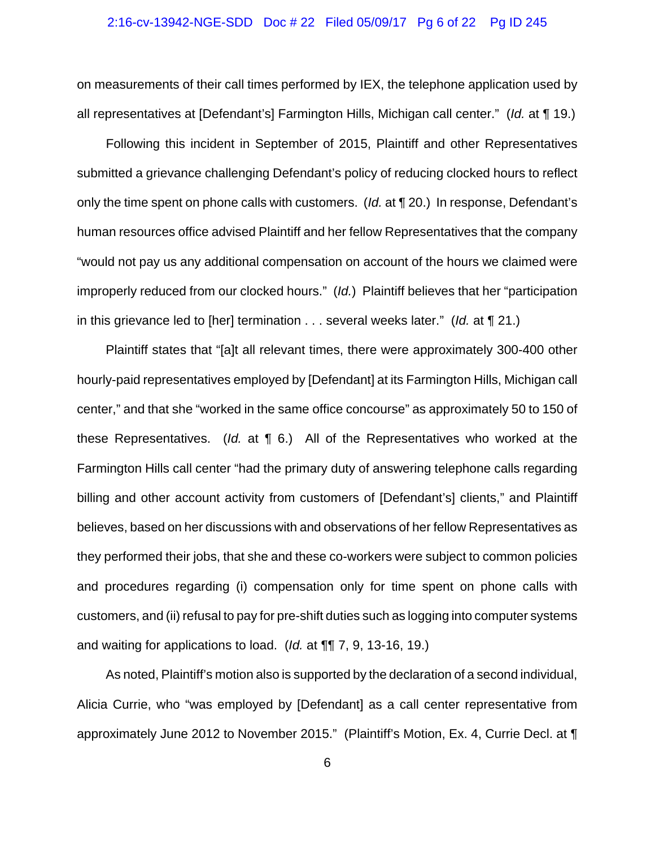### 2:16-cv-13942-NGE-SDD Doc # 22 Filed 05/09/17 Pg 6 of 22 Pg ID 245

on measurements of their call times performed by IEX, the telephone application used by all representatives at [Defendant's] Farmington Hills, Michigan call center." (*Id.* at ¶ 19.)

Following this incident in September of 2015, Plaintiff and other Representatives submitted a grievance challenging Defendant's policy of reducing clocked hours to reflect only the time spent on phone calls with customers. (*Id.* at ¶ 20.) In response, Defendant's human resources office advised Plaintiff and her fellow Representatives that the company "would not pay us any additional compensation on account of the hours we claimed were improperly reduced from our clocked hours." (*Id.*) Plaintiff believes that her "participation in this grievance led to [her] termination . . . several weeks later." (*Id.* at ¶ 21.)

Plaintiff states that "[a]t all relevant times, there were approximately 300-400 other hourly-paid representatives employed by [Defendant] at its Farmington Hills, Michigan call center," and that she "worked in the same office concourse" as approximately 50 to 150 of these Representatives. (*Id.* at ¶ 6.) All of the Representatives who worked at the Farmington Hills call center "had the primary duty of answering telephone calls regarding billing and other account activity from customers of [Defendant's] clients," and Plaintiff believes, based on her discussions with and observations of her fellow Representatives as they performed their jobs, that she and these co-workers were subject to common policies and procedures regarding (i) compensation only for time spent on phone calls with customers, and (ii) refusal to pay for pre-shift duties such as logging into computer systems and waiting for applications to load. (*Id.* at ¶¶ 7, 9, 13-16, 19.)

As noted, Plaintiff's motion also is supported by the declaration of a second individual, Alicia Currie, who "was employed by [Defendant] as a call center representative from approximately June 2012 to November 2015." (Plaintiff's Motion, Ex. 4, Currie Decl. at ¶

6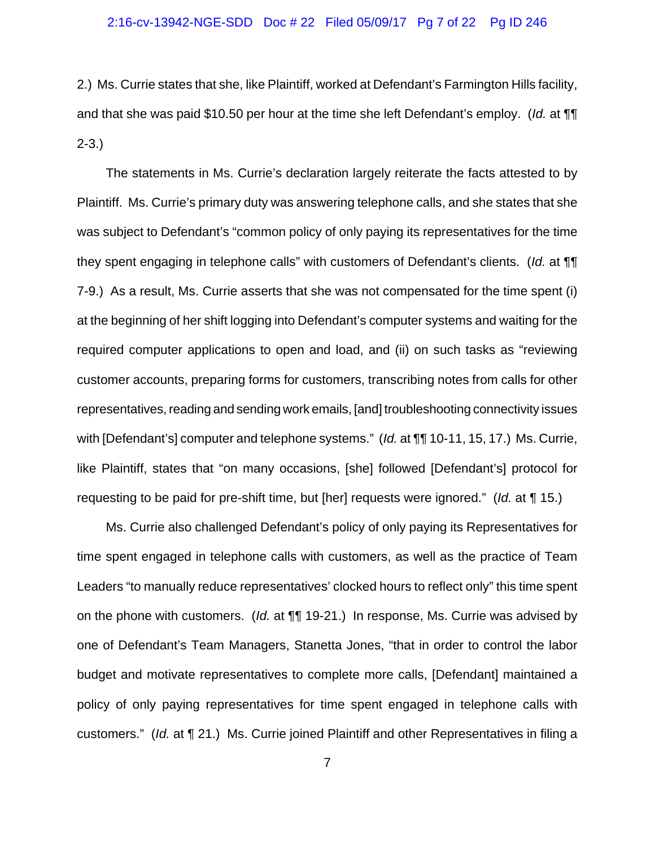2.) Ms. Currie states that she, like Plaintiff, worked at Defendant's Farmington Hills facility, and that she was paid \$10.50 per hour at the time she left Defendant's employ. (*Id.* at ¶¶ 2-3.)

The statements in Ms. Currie's declaration largely reiterate the facts attested to by Plaintiff. Ms. Currie's primary duty was answering telephone calls, and she states that she was subject to Defendant's "common policy of only paying its representatives for the time they spent engaging in telephone calls" with customers of Defendant's clients. (*Id.* at ¶¶ 7-9.) As a result, Ms. Currie asserts that she was not compensated for the time spent (i) at the beginning of her shift logging into Defendant's computer systems and waiting for the required computer applications to open and load, and (ii) on such tasks as "reviewing customer accounts, preparing forms for customers, transcribing notes from calls for other representatives, reading and sending work emails, [and] troubleshooting connectivity issues with [Defendant's] computer and telephone systems." (*Id.* at ¶¶ 10-11, 15, 17.) Ms. Currie, like Plaintiff, states that "on many occasions, [she] followed [Defendant's] protocol for requesting to be paid for pre-shift time, but [her] requests were ignored." (*Id.* at ¶ 15.)

Ms. Currie also challenged Defendant's policy of only paying its Representatives for time spent engaged in telephone calls with customers, as well as the practice of Team Leaders "to manually reduce representatives' clocked hours to reflect only" this time spent on the phone with customers. (*Id.* at ¶¶ 19-21.) In response, Ms. Currie was advised by one of Defendant's Team Managers, Stanetta Jones, "that in order to control the labor budget and motivate representatives to complete more calls, [Defendant] maintained a policy of only paying representatives for time spent engaged in telephone calls with customers." (*Id.* at ¶ 21.) Ms. Currie joined Plaintiff and other Representatives in filing a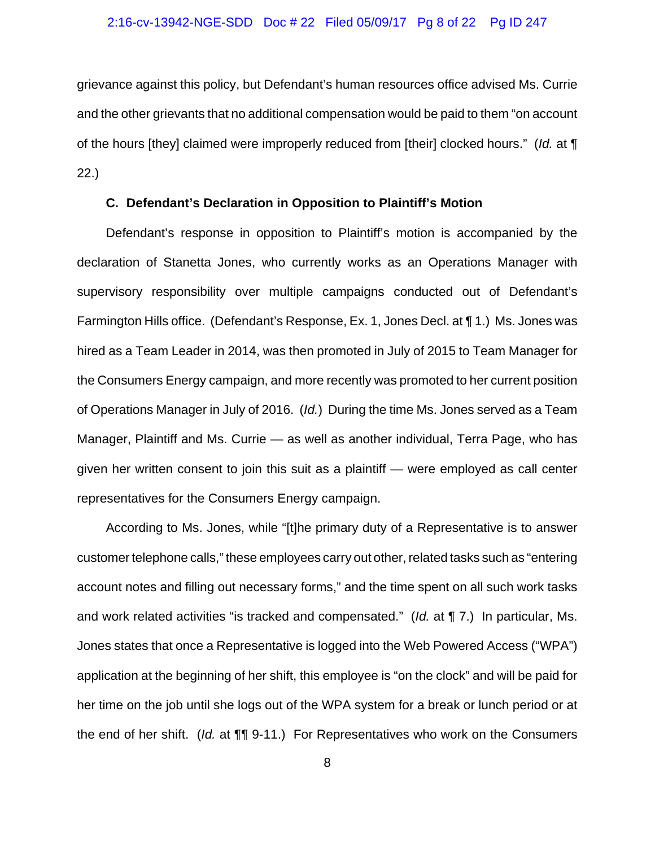grievance against this policy, but Defendant's human resources office advised Ms. Currie and the other grievants that no additional compensation would be paid to them "on account of the hours [they] claimed were improperly reduced from [their] clocked hours." (*Id.* at ¶ 22.)

## **C. Defendant's Declaration in Opposition to Plaintiff's Motion**

Defendant's response in opposition to Plaintiff's motion is accompanied by the declaration of Stanetta Jones, who currently works as an Operations Manager with supervisory responsibility over multiple campaigns conducted out of Defendant's Farmington Hills office. (Defendant's Response, Ex. 1, Jones Decl. at ¶ 1.) Ms. Jones was hired as a Team Leader in 2014, was then promoted in July of 2015 to Team Manager for the Consumers Energy campaign, and more recently was promoted to her current position of Operations Manager in July of 2016. (*Id.*) During the time Ms. Jones served as a Team Manager, Plaintiff and Ms. Currie — as well as another individual, Terra Page, who has given her written consent to join this suit as a plaintiff — were employed as call center representatives for the Consumers Energy campaign.

According to Ms. Jones, while "[t]he primary duty of a Representative is to answer customer telephone calls," these employees carry out other, related tasks such as "entering account notes and filling out necessary forms," and the time spent on all such work tasks and work related activities "is tracked and compensated." (*Id.* at ¶ 7.) In particular, Ms. Jones states that once a Representative is logged into the Web Powered Access ("WPA") application at the beginning of her shift, this employee is "on the clock" and will be paid for her time on the job until she logs out of the WPA system for a break or lunch period or at the end of her shift. (*Id.* at ¶¶ 9-11.) For Representatives who work on the Consumers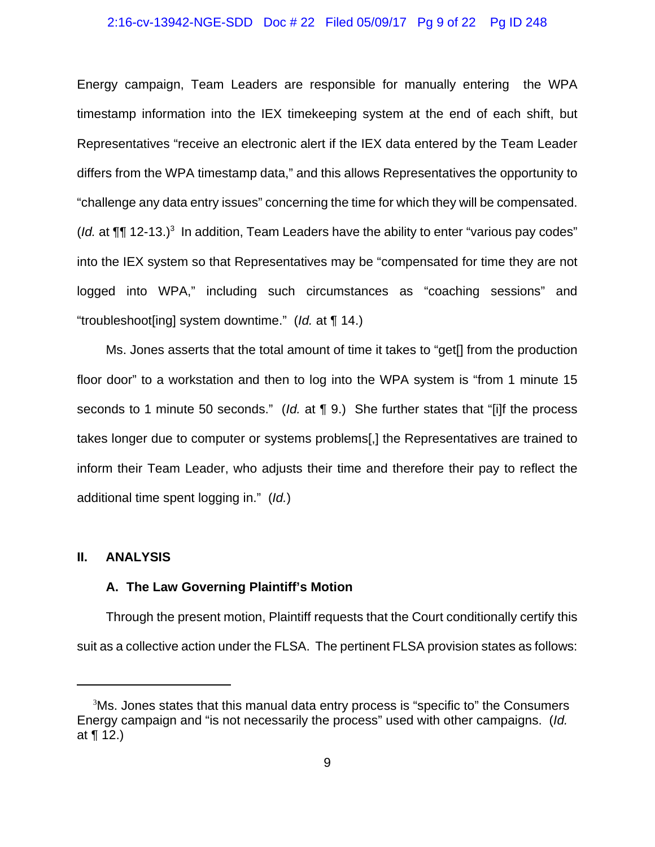## 2:16-cv-13942-NGE-SDD Doc # 22 Filed 05/09/17 Pg 9 of 22 Pg ID 248

Energy campaign, Team Leaders are responsible for manually entering the WPA timestamp information into the IEX timekeeping system at the end of each shift, but Representatives "receive an electronic alert if the IEX data entered by the Team Leader differs from the WPA timestamp data," and this allows Representatives the opportunity to "challenge any data entry issues" concerning the time for which they will be compensated. ( $Id$ . at  $\P\P$  12-13.)<sup>3</sup> In addition, Team Leaders have the ability to enter "various pay codes" into the IEX system so that Representatives may be "compensated for time they are not logged into WPA," including such circumstances as "coaching sessions" and "troubleshoot[ing] system downtime." (*Id.* at ¶ 14.)

Ms. Jones asserts that the total amount of time it takes to "get[] from the production floor door" to a workstation and then to log into the WPA system is "from 1 minute 15 seconds to 1 minute 50 seconds." (*Id.* at ¶ 9.) She further states that "[i]f the process takes longer due to computer or systems problems[,] the Representatives are trained to inform their Team Leader, who adjusts their time and therefore their pay to reflect the additional time spent logging in." (*Id.*)

### **II. ANALYSIS**

## **A. The Law Governing Plaintiff's Motion**

Through the present motion, Plaintiff requests that the Court conditionally certify this suit as a collective action under the FLSA. The pertinent FLSA provision states as follows:

<sup>&</sup>lt;sup>3</sup>Ms. Jones states that this manual data entry process is "specific to" the Consumers Energy campaign and "is not necessarily the process" used with other campaigns. (*Id.* at ¶ 12.)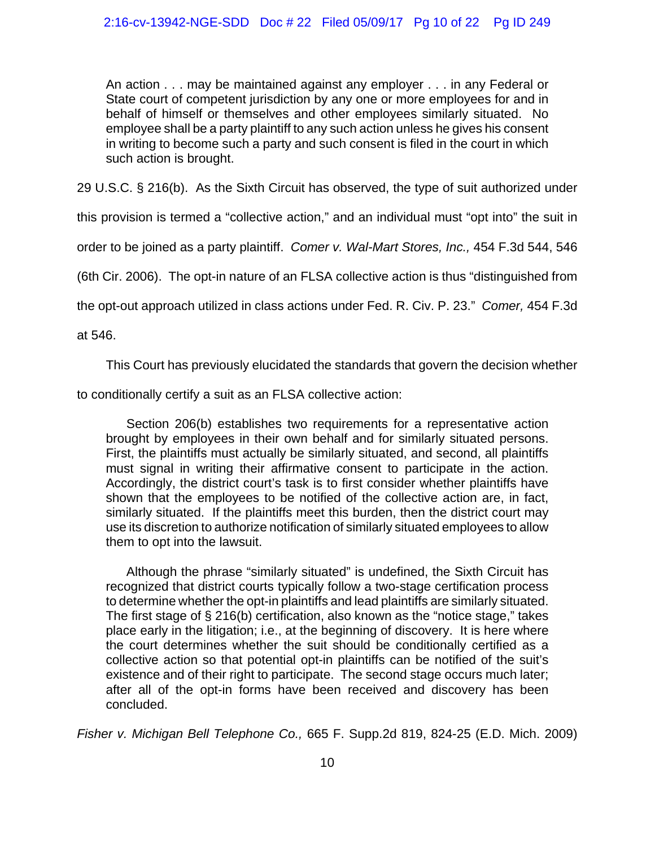An action . . . may be maintained against any employer . . . in any Federal or State court of competent jurisdiction by any one or more employees for and in behalf of himself or themselves and other employees similarly situated. No employee shall be a party plaintiff to any such action unless he gives his consent in writing to become such a party and such consent is filed in the court in which such action is brought.

29 U.S.C. § 216(b). As the Sixth Circuit has observed, the type of suit authorized under

this provision is termed a "collective action," and an individual must "opt into" the suit in

order to be joined as a party plaintiff. *Comer v. Wal-Mart Stores, Inc.,* 454 F.3d 544, 546

(6th Cir. 2006). The opt-in nature of an FLSA collective action is thus "distinguished from

the opt-out approach utilized in class actions under Fed. R. Civ. P. 23." *Comer,* 454 F.3d

at 546.

This Court has previously elucidated the standards that govern the decision whether

to conditionally certify a suit as an FLSA collective action:

Section 206(b) establishes two requirements for a representative action brought by employees in their own behalf and for similarly situated persons. First, the plaintiffs must actually be similarly situated, and second, all plaintiffs must signal in writing their affirmative consent to participate in the action. Accordingly, the district court's task is to first consider whether plaintiffs have shown that the employees to be notified of the collective action are, in fact, similarly situated. If the plaintiffs meet this burden, then the district court may use its discretion to authorize notification of similarly situated employees to allow them to opt into the lawsuit.

Although the phrase "similarly situated" is undefined, the Sixth Circuit has recognized that district courts typically follow a two-stage certification process to determine whether the opt-in plaintiffs and lead plaintiffs are similarly situated. The first stage of § 216(b) certification, also known as the "notice stage," takes place early in the litigation; i.e., at the beginning of discovery. It is here where the court determines whether the suit should be conditionally certified as a collective action so that potential opt-in plaintiffs can be notified of the suit's existence and of their right to participate. The second stage occurs much later; after all of the opt-in forms have been received and discovery has been concluded.

*Fisher v. Michigan Bell Telephone Co.,* 665 F. Supp.2d 819, 824-25 (E.D. Mich. 2009)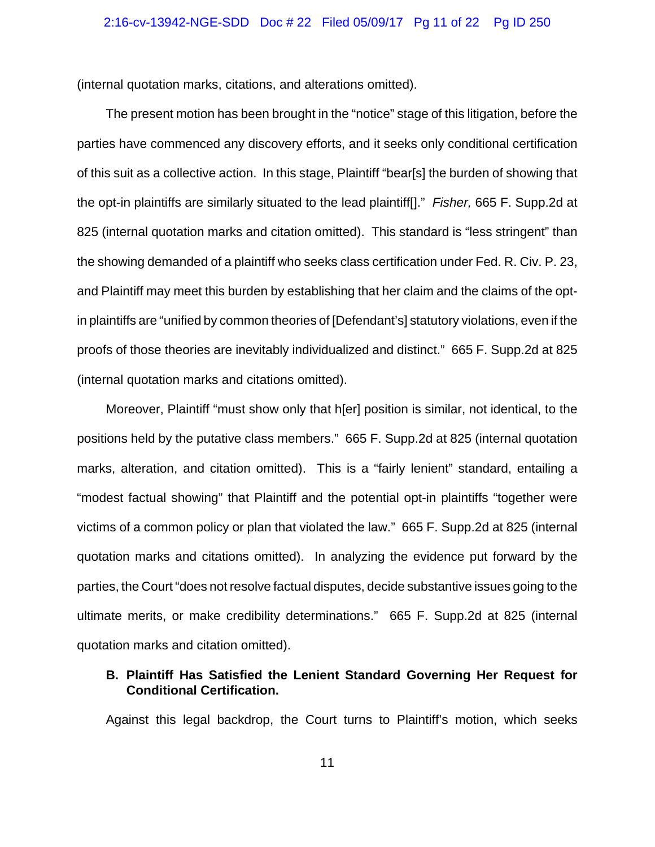## 2:16-cv-13942-NGE-SDD Doc # 22 Filed 05/09/17 Pg 11 of 22 Pg ID 250

(internal quotation marks, citations, and alterations omitted).

The present motion has been brought in the "notice" stage of this litigation, before the parties have commenced any discovery efforts, and it seeks only conditional certification of this suit as a collective action. In this stage, Plaintiff "bear[s] the burden of showing that the opt-in plaintiffs are similarly situated to the lead plaintiff[]." *Fisher,* 665 F. Supp.2d at 825 (internal quotation marks and citation omitted). This standard is "less stringent" than the showing demanded of a plaintiff who seeks class certification under Fed. R. Civ. P. 23, and Plaintiff may meet this burden by establishing that her claim and the claims of the optin plaintiffs are "unified by common theories of [Defendant's] statutory violations, even if the proofs of those theories are inevitably individualized and distinct." 665 F. Supp.2d at 825 (internal quotation marks and citations omitted).

Moreover, Plaintiff "must show only that h[er] position is similar, not identical, to the positions held by the putative class members." 665 F. Supp.2d at 825 (internal quotation marks, alteration, and citation omitted). This is a "fairly lenient" standard, entailing a "modest factual showing" that Plaintiff and the potential opt-in plaintiffs "together were victims of a common policy or plan that violated the law." 665 F. Supp.2d at 825 (internal quotation marks and citations omitted). In analyzing the evidence put forward by the parties, the Court "does not resolve factual disputes, decide substantive issues going to the ultimate merits, or make credibility determinations." 665 F. Supp.2d at 825 (internal quotation marks and citation omitted).

# **B. Plaintiff Has Satisfied the Lenient Standard Governing Her Request for Conditional Certification.**

Against this legal backdrop, the Court turns to Plaintiff's motion, which seeks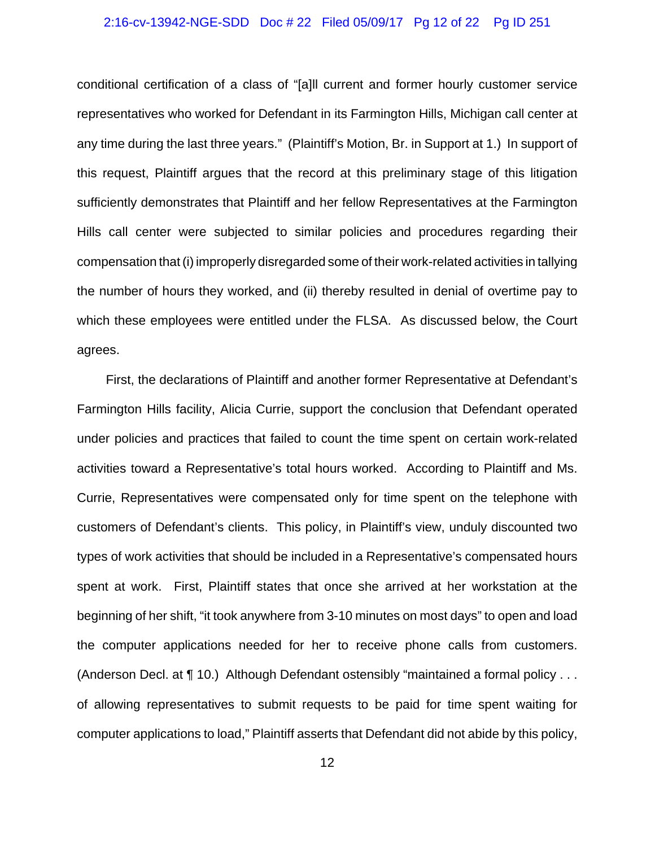## 2:16-cv-13942-NGE-SDD Doc # 22 Filed 05/09/17 Pg 12 of 22 Pg ID 251

conditional certification of a class of "[a]ll current and former hourly customer service representatives who worked for Defendant in its Farmington Hills, Michigan call center at any time during the last three years." (Plaintiff's Motion, Br. in Support at 1.) In support of this request, Plaintiff argues that the record at this preliminary stage of this litigation sufficiently demonstrates that Plaintiff and her fellow Representatives at the Farmington Hills call center were subjected to similar policies and procedures regarding their compensation that (i) improperly disregarded some of their work-related activities in tallying the number of hours they worked, and (ii) thereby resulted in denial of overtime pay to which these employees were entitled under the FLSA. As discussed below, the Court agrees.

First, the declarations of Plaintiff and another former Representative at Defendant's Farmington Hills facility, Alicia Currie, support the conclusion that Defendant operated under policies and practices that failed to count the time spent on certain work-related activities toward a Representative's total hours worked. According to Plaintiff and Ms. Currie, Representatives were compensated only for time spent on the telephone with customers of Defendant's clients. This policy, in Plaintiff's view, unduly discounted two types of work activities that should be included in a Representative's compensated hours spent at work. First, Plaintiff states that once she arrived at her workstation at the beginning of her shift, "it took anywhere from 3-10 minutes on most days" to open and load the computer applications needed for her to receive phone calls from customers. (Anderson Decl. at ¶ 10.) Although Defendant ostensibly "maintained a formal policy . . . of allowing representatives to submit requests to be paid for time spent waiting for computer applications to load," Plaintiff asserts that Defendant did not abide by this policy,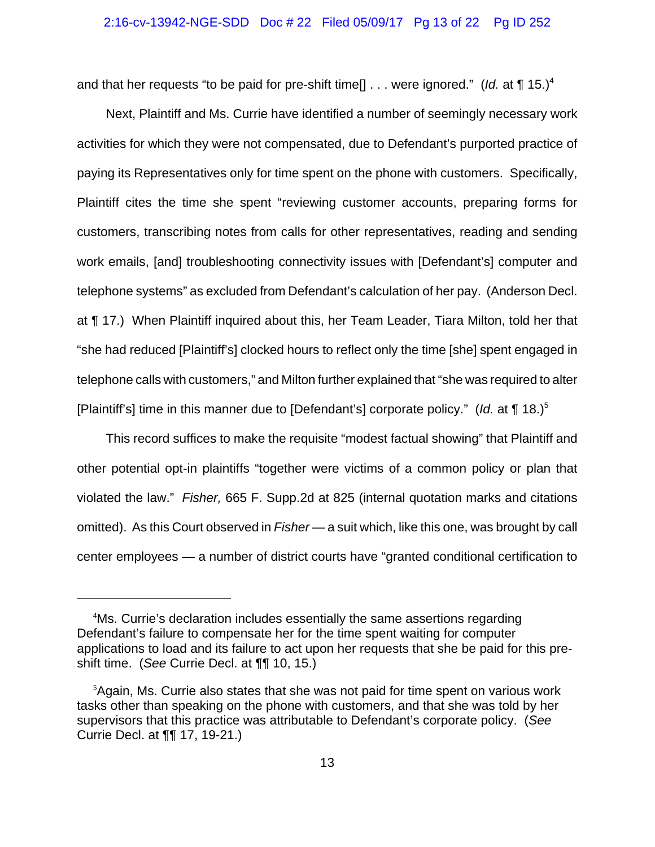#### 2:16-cv-13942-NGE-SDD Doc # 22 Filed 05/09/17 Pg 13 of 22 Pg ID 252

and that her requests "to be paid for pre-shift time<sup>[]</sup> . . . were ignored." (*Id.* at  $\P$  15.)<sup>4</sup>

Next, Plaintiff and Ms. Currie have identified a number of seemingly necessary work activities for which they were not compensated, due to Defendant's purported practice of paying its Representatives only for time spent on the phone with customers. Specifically, Plaintiff cites the time she spent "reviewing customer accounts, preparing forms for customers, transcribing notes from calls for other representatives, reading and sending work emails, [and] troubleshooting connectivity issues with [Defendant's] computer and telephone systems" as excluded from Defendant's calculation of her pay. (Anderson Decl. at ¶ 17.) When Plaintiff inquired about this, her Team Leader, Tiara Milton, told her that "she had reduced [Plaintiff's] clocked hours to reflect only the time [she] spent engaged in telephone calls with customers," and Milton further explained that "she was required to alter [Plaintiff's] time in this manner due to [Defendant's] corporate policy." (*Id.* at ¶ 18.)5

This record suffices to make the requisite "modest factual showing" that Plaintiff and other potential opt-in plaintiffs "together were victims of a common policy or plan that violated the law." *Fisher,* 665 F. Supp.2d at 825 (internal quotation marks and citations omitted). As this Court observed in *Fisher* — a suit which, like this one, was brought by call center employees — a number of district courts have "granted conditional certification to

 <sup>4</sup> Ms. Currie's declaration includes essentially the same assertions regarding Defendant's failure to compensate her for the time spent waiting for computer applications to load and its failure to act upon her requests that she be paid for this preshift time. (*See* Currie Decl. at ¶¶ 10, 15.)

<sup>&</sup>lt;sup>5</sup>Again, Ms. Currie also states that she was not paid for time spent on various work tasks other than speaking on the phone with customers, and that she was told by her supervisors that this practice was attributable to Defendant's corporate policy. (*See* Currie Decl. at ¶¶ 17, 19-21.)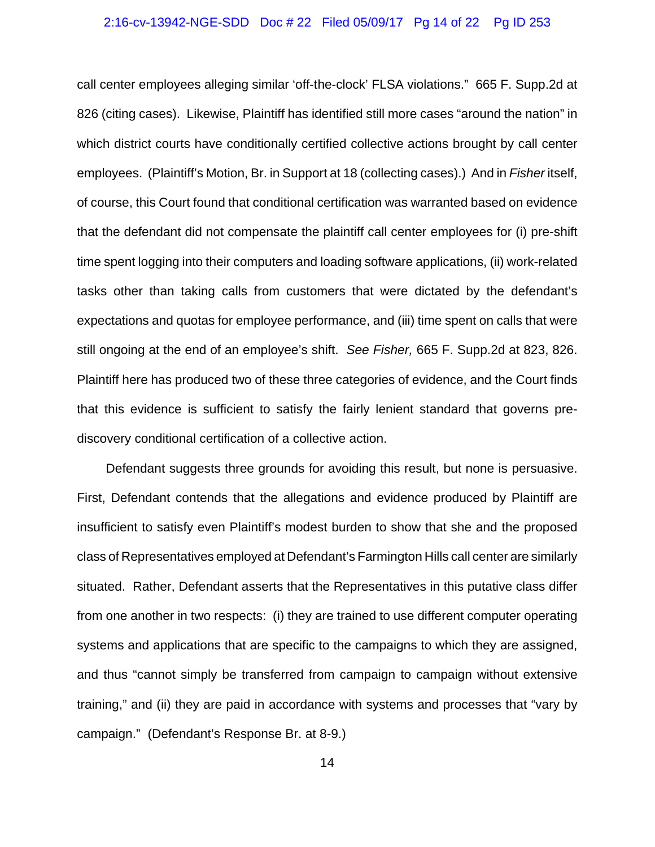## 2:16-cv-13942-NGE-SDD Doc # 22 Filed 05/09/17 Pg 14 of 22 Pg ID 253

call center employees alleging similar 'off-the-clock' FLSA violations." 665 F. Supp.2d at 826 (citing cases). Likewise, Plaintiff has identified still more cases "around the nation" in which district courts have conditionally certified collective actions brought by call center employees. (Plaintiff's Motion, Br. in Support at 18 (collecting cases).) And in *Fisher* itself, of course, this Court found that conditional certification was warranted based on evidence that the defendant did not compensate the plaintiff call center employees for (i) pre-shift time spent logging into their computers and loading software applications, (ii) work-related tasks other than taking calls from customers that were dictated by the defendant's expectations and quotas for employee performance, and (iii) time spent on calls that were still ongoing at the end of an employee's shift. *See Fisher,* 665 F. Supp.2d at 823, 826. Plaintiff here has produced two of these three categories of evidence, and the Court finds that this evidence is sufficient to satisfy the fairly lenient standard that governs prediscovery conditional certification of a collective action.

Defendant suggests three grounds for avoiding this result, but none is persuasive. First, Defendant contends that the allegations and evidence produced by Plaintiff are insufficient to satisfy even Plaintiff's modest burden to show that she and the proposed class of Representatives employed at Defendant's Farmington Hills call center are similarly situated. Rather, Defendant asserts that the Representatives in this putative class differ from one another in two respects: (i) they are trained to use different computer operating systems and applications that are specific to the campaigns to which they are assigned, and thus "cannot simply be transferred from campaign to campaign without extensive training," and (ii) they are paid in accordance with systems and processes that "vary by campaign." (Defendant's Response Br. at 8-9.)

14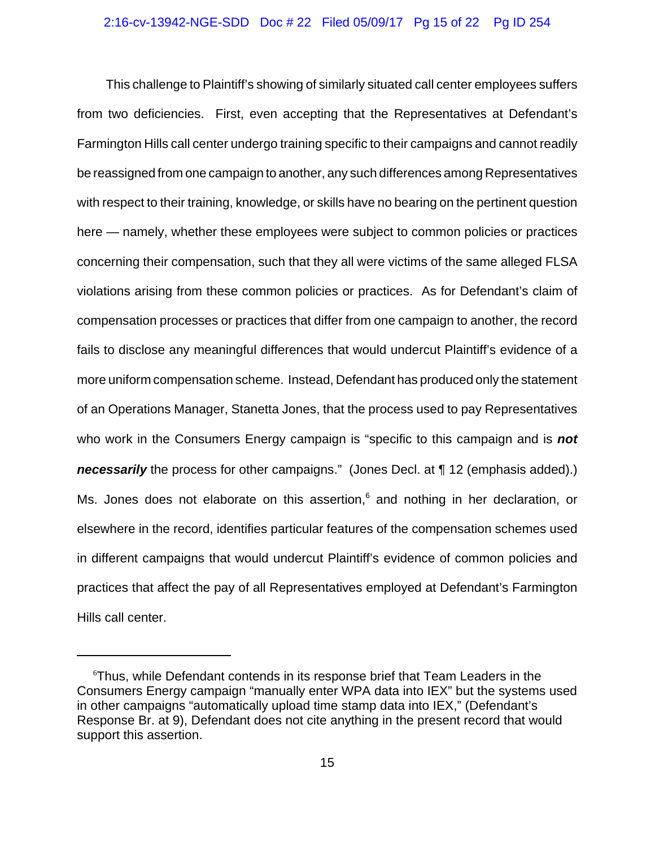### 2:16-cv-13942-NGE-SDD Doc # 22 Filed 05/09/17 Pg 15 of 22 Pg ID 254

This challenge to Plaintiff's showing of similarly situated call center employees suffers from two deficiencies. First, even accepting that the Representatives at Defendant's Farmington Hills call center undergo training specific to their campaigns and cannot readily be reassigned from one campaign to another, any such differences among Representatives with respect to their training, knowledge, or skills have no bearing on the pertinent question here — namely, whether these employees were subject to common policies or practices concerning their compensation, such that they all were victims of the same alleged FLSA violations arising from these common policies or practices. As for Defendant's claim of compensation processes or practices that differ from one campaign to another, the record fails to disclose any meaningful differences that would undercut Plaintiff's evidence of a more uniform compensation scheme. Instead, Defendant has produced only the statement of an Operations Manager, Stanetta Jones, that the process used to pay Representatives who work in the Consumers Energy campaign is "specific to this campaign and is *not necessarily* the process for other campaigns." (Jones Decl. at 1 12 (emphasis added).) Ms. Jones does not elaborate on this assertion,<sup>6</sup> and nothing in her declaration, or elsewhere in the record, identifies particular features of the compensation schemes used in different campaigns that would undercut Plaintiff's evidence of common policies and practices that affect the pay of all Representatives employed at Defendant's Farmington Hills call center.

<sup>&</sup>lt;sup>6</sup>Thus, while Defendant contends in its response brief that Team Leaders in the Consumers Energy campaign "manually enter WPA data into IEX" but the systems used in other campaigns "automatically upload time stamp data into IEX," (Defendant's Response Br. at 9), Defendant does not cite anything in the present record that would support this assertion.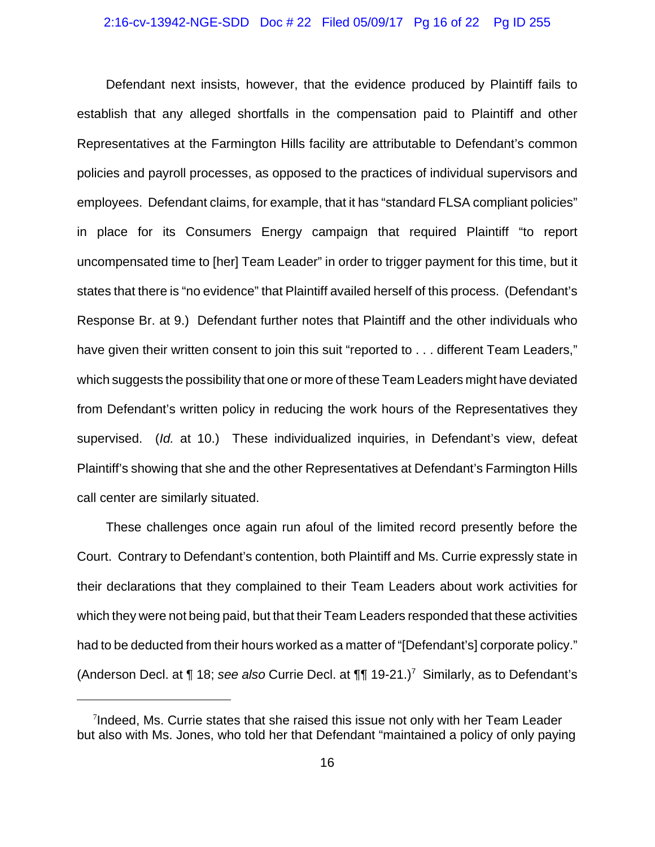## 2:16-cv-13942-NGE-SDD Doc # 22 Filed 05/09/17 Pg 16 of 22 Pg ID 255

Defendant next insists, however, that the evidence produced by Plaintiff fails to establish that any alleged shortfalls in the compensation paid to Plaintiff and other Representatives at the Farmington Hills facility are attributable to Defendant's common policies and payroll processes, as opposed to the practices of individual supervisors and employees. Defendant claims, for example, that it has "standard FLSA compliant policies" in place for its Consumers Energy campaign that required Plaintiff "to report uncompensated time to [her] Team Leader" in order to trigger payment for this time, but it states that there is "no evidence" that Plaintiff availed herself of this process. (Defendant's Response Br. at 9.) Defendant further notes that Plaintiff and the other individuals who have given their written consent to join this suit "reported to . . . different Team Leaders," which suggests the possibility that one or more of these Team Leaders might have deviated from Defendant's written policy in reducing the work hours of the Representatives they supervised. (*Id.* at 10.) These individualized inquiries, in Defendant's view, defeat Plaintiff's showing that she and the other Representatives at Defendant's Farmington Hills call center are similarly situated.

These challenges once again run afoul of the limited record presently before the Court. Contrary to Defendant's contention, both Plaintiff and Ms. Currie expressly state in their declarations that they complained to their Team Leaders about work activities for which they were not being paid, but that their Team Leaders responded that these activities had to be deducted from their hours worked as a matter of "[Defendant's] corporate policy." (Anderson Decl. at ¶ 18; *see also* Currie Decl. at ¶¶ 19-21.)<sup>7</sup> Similarly, as to Defendant's

<sup>&</sup>lt;sup>7</sup>Indeed, Ms. Currie states that she raised this issue not only with her Team Leader but also with Ms. Jones, who told her that Defendant "maintained a policy of only paying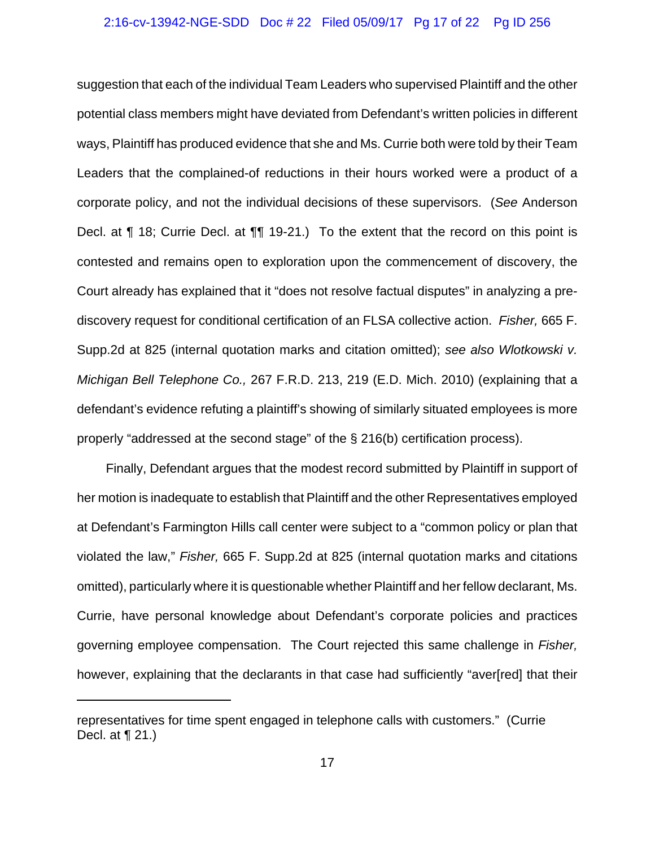## 2:16-cv-13942-NGE-SDD Doc # 22 Filed 05/09/17 Pg 17 of 22 Pg ID 256

suggestion that each of the individual Team Leaders who supervised Plaintiff and the other potential class members might have deviated from Defendant's written policies in different ways, Plaintiff has produced evidence that she and Ms. Currie both were told by their Team Leaders that the complained-of reductions in their hours worked were a product of a corporate policy, and not the individual decisions of these supervisors. (*See* Anderson Decl. at ¶ 18; Currie Decl. at ¶¶ 19-21.) To the extent that the record on this point is contested and remains open to exploration upon the commencement of discovery, the Court already has explained that it "does not resolve factual disputes" in analyzing a prediscovery request for conditional certification of an FLSA collective action. *Fisher,* 665 F. Supp.2d at 825 (internal quotation marks and citation omitted); *see also Wlotkowski v. Michigan Bell Telephone Co.,* 267 F.R.D. 213, 219 (E.D. Mich. 2010) (explaining that a defendant's evidence refuting a plaintiff's showing of similarly situated employees is more properly "addressed at the second stage" of the § 216(b) certification process).

Finally, Defendant argues that the modest record submitted by Plaintiff in support of her motion is inadequate to establish that Plaintiff and the other Representatives employed at Defendant's Farmington Hills call center were subject to a "common policy or plan that violated the law," *Fisher,* 665 F. Supp.2d at 825 (internal quotation marks and citations omitted), particularly where it is questionable whether Plaintiff and her fellow declarant, Ms. Currie, have personal knowledge about Defendant's corporate policies and practices governing employee compensation. The Court rejected this same challenge in *Fisher,* however, explaining that the declarants in that case had sufficiently "aver[red] that their

representatives for time spent engaged in telephone calls with customers." (Currie Decl. at ¶ 21.)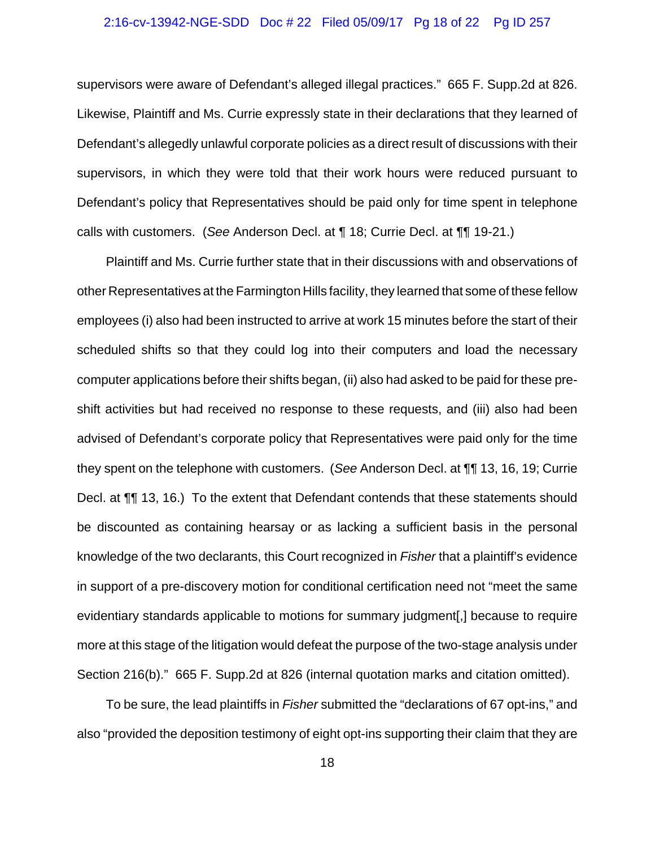## 2:16-cv-13942-NGE-SDD Doc # 22 Filed 05/09/17 Pg 18 of 22 Pg ID 257

supervisors were aware of Defendant's alleged illegal practices." 665 F. Supp.2d at 826. Likewise, Plaintiff and Ms. Currie expressly state in their declarations that they learned of Defendant's allegedly unlawful corporate policies as a direct result of discussions with their supervisors, in which they were told that their work hours were reduced pursuant to Defendant's policy that Representatives should be paid only for time spent in telephone calls with customers. (*See* Anderson Decl. at ¶ 18; Currie Decl. at ¶¶ 19-21.)

Plaintiff and Ms. Currie further state that in their discussions with and observations of other Representatives at the Farmington Hills facility, they learned that some of these fellow employees (i) also had been instructed to arrive at work 15 minutes before the start of their scheduled shifts so that they could log into their computers and load the necessary computer applications before their shifts began, (ii) also had asked to be paid for these preshift activities but had received no response to these requests, and (iii) also had been advised of Defendant's corporate policy that Representatives were paid only for the time they spent on the telephone with customers. (*See* Anderson Decl. at ¶¶ 13, 16, 19; Currie Decl. at ¶¶ 13, 16.) To the extent that Defendant contends that these statements should be discounted as containing hearsay or as lacking a sufficient basis in the personal knowledge of the two declarants, this Court recognized in *Fisher* that a plaintiff's evidence in support of a pre-discovery motion for conditional certification need not "meet the same evidentiary standards applicable to motions for summary judgment[,] because to require more at this stage of the litigation would defeat the purpose of the two-stage analysis under Section 216(b)." 665 F. Supp.2d at 826 (internal quotation marks and citation omitted).

To be sure, the lead plaintiffs in *Fisher* submitted the "declarations of 67 opt-ins," and also "provided the deposition testimony of eight opt-ins supporting their claim that they are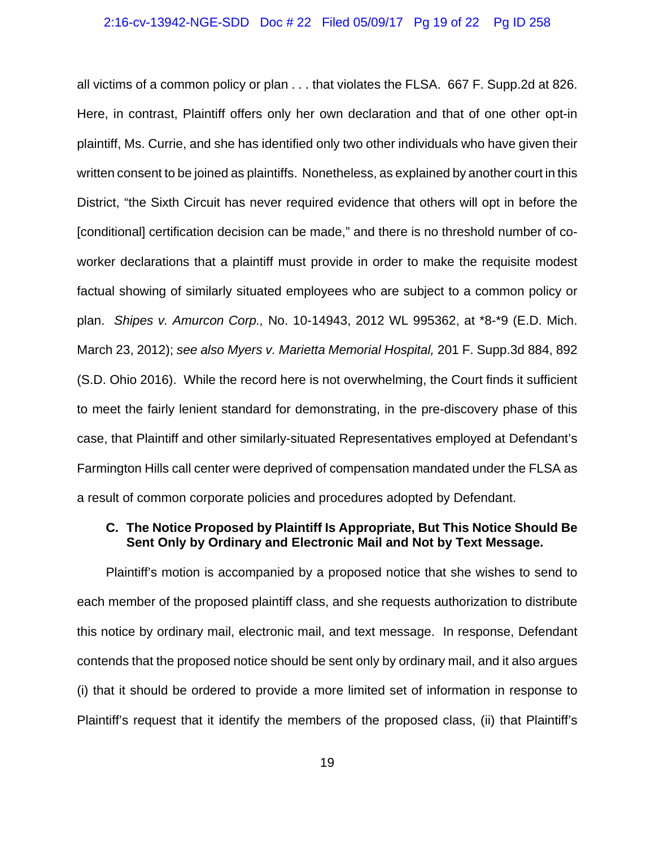## 2:16-cv-13942-NGE-SDD Doc # 22 Filed 05/09/17 Pg 19 of 22 Pg ID 258

all victims of a common policy or plan . . . that violates the FLSA. 667 F. Supp.2d at 826. Here, in contrast, Plaintiff offers only her own declaration and that of one other opt-in plaintiff, Ms. Currie, and she has identified only two other individuals who have given their written consent to be joined as plaintiffs. Nonetheless, as explained by another court in this District, "the Sixth Circuit has never required evidence that others will opt in before the [conditional] certification decision can be made," and there is no threshold number of coworker declarations that a plaintiff must provide in order to make the requisite modest factual showing of similarly situated employees who are subject to a common policy or plan. *Shipes v. Amurcon Corp.,* No. 10-14943, 2012 WL 995362, at \*8-\*9 (E.D. Mich. March 23, 2012); *see also Myers v. Marietta Memorial Hospital,* 201 F. Supp.3d 884, 892 (S.D. Ohio 2016). While the record here is not overwhelming, the Court finds it sufficient to meet the fairly lenient standard for demonstrating, in the pre-discovery phase of this case, that Plaintiff and other similarly-situated Representatives employed at Defendant's Farmington Hills call center were deprived of compensation mandated under the FLSA as a result of common corporate policies and procedures adopted by Defendant.

# **C. The Notice Proposed by Plaintiff Is Appropriate, But This Notice Should Be Sent Only by Ordinary and Electronic Mail and Not by Text Message.**

Plaintiff's motion is accompanied by a proposed notice that she wishes to send to each member of the proposed plaintiff class, and she requests authorization to distribute this notice by ordinary mail, electronic mail, and text message. In response, Defendant contends that the proposed notice should be sent only by ordinary mail, and it also argues (i) that it should be ordered to provide a more limited set of information in response to Plaintiff's request that it identify the members of the proposed class, (ii) that Plaintiff's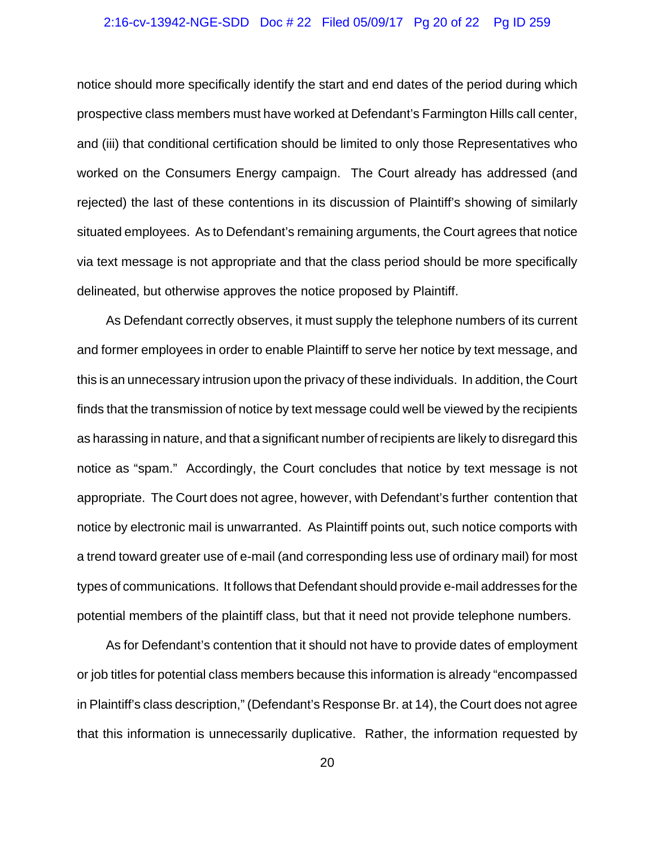## 2:16-cv-13942-NGE-SDD Doc # 22 Filed 05/09/17 Pg 20 of 22 Pg ID 259

notice should more specifically identify the start and end dates of the period during which prospective class members must have worked at Defendant's Farmington Hills call center, and (iii) that conditional certification should be limited to only those Representatives who worked on the Consumers Energy campaign. The Court already has addressed (and rejected) the last of these contentions in its discussion of Plaintiff's showing of similarly situated employees. As to Defendant's remaining arguments, the Court agrees that notice via text message is not appropriate and that the class period should be more specifically delineated, but otherwise approves the notice proposed by Plaintiff.

As Defendant correctly observes, it must supply the telephone numbers of its current and former employees in order to enable Plaintiff to serve her notice by text message, and this is an unnecessary intrusion upon the privacy of these individuals. In addition, the Court finds that the transmission of notice by text message could well be viewed by the recipients as harassing in nature, and that a significant number of recipients are likely to disregard this notice as "spam." Accordingly, the Court concludes that notice by text message is not appropriate. The Court does not agree, however, with Defendant's further contention that notice by electronic mail is unwarranted. As Plaintiff points out, such notice comports with a trend toward greater use of e-mail (and corresponding less use of ordinary mail) for most types of communications. It follows that Defendant should provide e-mail addresses for the potential members of the plaintiff class, but that it need not provide telephone numbers.

As for Defendant's contention that it should not have to provide dates of employment or job titles for potential class members because this information is already "encompassed in Plaintiff's class description," (Defendant's Response Br. at 14), the Court does not agree that this information is unnecessarily duplicative. Rather, the information requested by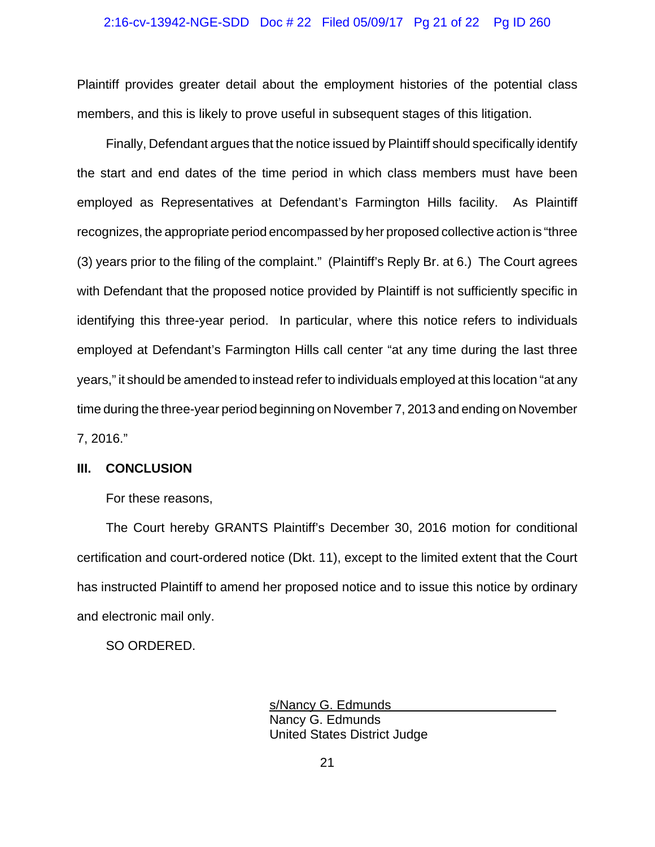## 2:16-cv-13942-NGE-SDD Doc # 22 Filed 05/09/17 Pg 21 of 22 Pg ID 260

Plaintiff provides greater detail about the employment histories of the potential class members, and this is likely to prove useful in subsequent stages of this litigation.

Finally, Defendant argues that the notice issued by Plaintiff should specifically identify the start and end dates of the time period in which class members must have been employed as Representatives at Defendant's Farmington Hills facility. As Plaintiff recognizes, the appropriate period encompassed by her proposed collective action is "three (3) years prior to the filing of the complaint." (Plaintiff's Reply Br. at 6.) The Court agrees with Defendant that the proposed notice provided by Plaintiff is not sufficiently specific in identifying this three-year period. In particular, where this notice refers to individuals employed at Defendant's Farmington Hills call center "at any time during the last three years," it should be amended to instead refer to individuals employed at this location "at any time during the three-year period beginning on November 7, 2013 and ending on November 7, 2016."

## **III. CONCLUSION**

For these reasons,

The Court hereby GRANTS Plaintiff's December 30, 2016 motion for conditional certification and court-ordered notice (Dkt. 11), except to the limited extent that the Court has instructed Plaintiff to amend her proposed notice and to issue this notice by ordinary and electronic mail only.

SO ORDERED.

s/Nancy G. Edmunds Nancy G. Edmunds United States District Judge